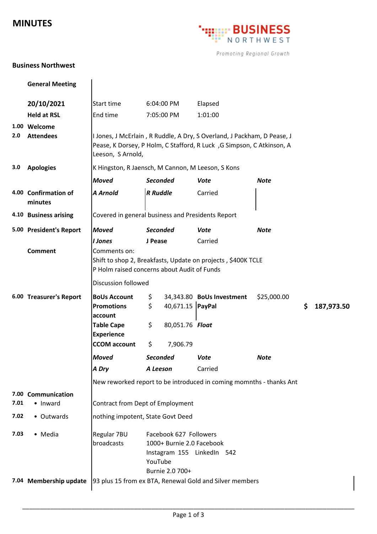## **MINUTES**



Promoting Regional Growth

## **Business Northwest**

|      | <b>General Meeting</b>          |                                                                                                                                                                       |                                                                                                                 |                  |                                                              |             |    |            |
|------|---------------------------------|-----------------------------------------------------------------------------------------------------------------------------------------------------------------------|-----------------------------------------------------------------------------------------------------------------|------------------|--------------------------------------------------------------|-------------|----|------------|
|      | 20/10/2021                      | Start time                                                                                                                                                            | 6:04:00 PM                                                                                                      |                  | Elapsed                                                      |             |    |            |
|      | <b>Held at RSL</b>              | End time                                                                                                                                                              | 7:05:00 PM                                                                                                      |                  | 1:01:00                                                      |             |    |            |
|      | 1.00 Welcome                    |                                                                                                                                                                       |                                                                                                                 |                  |                                                              |             |    |            |
| 2.0  | <b>Attendees</b>                | I Jones, J McErlain, R Ruddle, A Dry, S Overland, J Packham, D Pease, J<br>Pease, K Dorsey, P Holm, C Stafford, R Luck, G Simpson, C Atkinson, A<br>Leeson, S Arnold, |                                                                                                                 |                  |                                                              |             |    |            |
| 3.0  | <b>Apologies</b>                | K Hingston, R Jaensch, M Cannon, M Leeson, S Kons                                                                                                                     |                                                                                                                 |                  |                                                              |             |    |            |
|      |                                 | <b>Moved</b>                                                                                                                                                          | <b>Seconded</b>                                                                                                 |                  | Vote                                                         | <b>Note</b> |    |            |
|      | 4.00 Confirmation of<br>minutes | <b>A</b> Arnold                                                                                                                                                       | <b>R</b> Ruddle                                                                                                 |                  | Carried                                                      |             |    |            |
|      | 4.10 Business arising           | Covered in general business and Presidents Report                                                                                                                     |                                                                                                                 |                  |                                                              |             |    |            |
|      | 5.00 President's Report         | <b>Moved</b>                                                                                                                                                          | <b>Seconded</b>                                                                                                 |                  | <b>Vote</b>                                                  | <b>Note</b> |    |            |
|      |                                 | <b>I</b> Jones                                                                                                                                                        | J Pease                                                                                                         |                  | Carried                                                      |             |    |            |
|      | <b>Comment</b>                  | Comments on:<br>P Holm raised concerns about Audit of Funds                                                                                                           |                                                                                                                 |                  | Shift to shop 2, Breakfasts, Update on projects, \$400K TCLE |             |    |            |
|      |                                 | <b>Discussion followed</b>                                                                                                                                            |                                                                                                                 |                  |                                                              |             |    |            |
|      | 6.00 Treasurer's Report         | <b>BoUs Account</b><br><b>Promotions</b><br>account                                                                                                                   | \$<br>\$                                                                                                        | 40,671.15 PayPal | 34,343.80 BoUs Investment                                    | \$25,000.00 | \$ | 187,973.50 |
|      |                                 | <b>Table Cape</b><br><b>Experience</b>                                                                                                                                | \$                                                                                                              | 80,051.76 Float  |                                                              |             |    |            |
|      |                                 | <b>CCOM</b> account                                                                                                                                                   | \$                                                                                                              | 7,906.79         |                                                              |             |    |            |
|      |                                 | Moved                                                                                                                                                                 | <b>Seconded</b>                                                                                                 |                  | Vote                                                         | <b>Note</b> |    |            |
|      |                                 | A Dry                                                                                                                                                                 | A Leeson                                                                                                        |                  | Carried                                                      |             |    |            |
|      |                                 |                                                                                                                                                                       | New reworked report to be introduced in coming momnths - thanks Ant                                             |                  |                                                              |             |    |            |
| 7.01 | 7.00 Communication<br>• Inward  | Contract from Dept of Employment                                                                                                                                      |                                                                                                                 |                  |                                                              |             |    |            |
| 7.02 | • Outwards                      | nothing impotent, State Govt Deed                                                                                                                                     |                                                                                                                 |                  |                                                              |             |    |            |
| 7.03 | • Media                         | Regular 7BU<br>broadcasts                                                                                                                                             | Facebook 627 Followers<br>1000+ Burnie 2.0 Facebook<br>Instagram 155 LinkedIn 542<br>YouTube<br>Burnie 2.0 700+ |                  |                                                              |             |    |            |
|      | 7.04 Membership update          | 93 plus 15 from ex BTA, Renewal Gold and Silver members                                                                                                               |                                                                                                                 |                  |                                                              |             |    |            |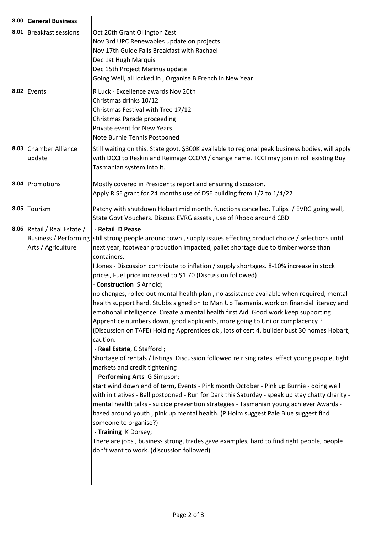| 8.00 General Business                             |                                                                                                                                                                                                                                                                                                                                                                                                                                                                                                                                                                                                                                                                                                                                                                                                                                                                                                                                                                                                                                                                                                                                                                                                                                                                                                                                                                                                                                                                                                                                                                                                                                                                                       |  |  |  |
|---------------------------------------------------|---------------------------------------------------------------------------------------------------------------------------------------------------------------------------------------------------------------------------------------------------------------------------------------------------------------------------------------------------------------------------------------------------------------------------------------------------------------------------------------------------------------------------------------------------------------------------------------------------------------------------------------------------------------------------------------------------------------------------------------------------------------------------------------------------------------------------------------------------------------------------------------------------------------------------------------------------------------------------------------------------------------------------------------------------------------------------------------------------------------------------------------------------------------------------------------------------------------------------------------------------------------------------------------------------------------------------------------------------------------------------------------------------------------------------------------------------------------------------------------------------------------------------------------------------------------------------------------------------------------------------------------------------------------------------------------|--|--|--|
| 8.01 Breakfast sessions                           | Oct 20th Grant Ollington Zest<br>Nov 3rd UPC Renewables update on projects<br>Nov 17th Guide Falls Breakfast with Rachael<br>Dec 1st Hugh Marquis<br>Dec 15th Project Marinus update<br>Going Well, all locked in, Organise B French in New Year                                                                                                                                                                                                                                                                                                                                                                                                                                                                                                                                                                                                                                                                                                                                                                                                                                                                                                                                                                                                                                                                                                                                                                                                                                                                                                                                                                                                                                      |  |  |  |
| 8.02 Events                                       | R Luck - Excellence awards Nov 20th<br>Christmas drinks 10/12<br>Christmas Festival with Tree 17/12<br>Christmas Parade proceeding<br>Private event for New Years<br>Note Burnie Tennis Postponed                                                                                                                                                                                                                                                                                                                                                                                                                                                                                                                                                                                                                                                                                                                                                                                                                                                                                                                                                                                                                                                                                                                                                                                                                                                                                                                                                                                                                                                                                     |  |  |  |
| 8.03 Chamber Alliance<br>update                   | Still waiting on this. State govt. \$300K available to regional peak business bodies, will apply<br>with DCCI to Reskin and Reimage CCOM / change name. TCCI may join in roll existing Buy<br>Tasmanian system into it.                                                                                                                                                                                                                                                                                                                                                                                                                                                                                                                                                                                                                                                                                                                                                                                                                                                                                                                                                                                                                                                                                                                                                                                                                                                                                                                                                                                                                                                               |  |  |  |
| 8.04 Promotions                                   | Mostly covered in Presidents report and ensuring discussion.<br>Apply RISE grant for 24 months use of DSE building from 1/2 to 1/4/22                                                                                                                                                                                                                                                                                                                                                                                                                                                                                                                                                                                                                                                                                                                                                                                                                                                                                                                                                                                                                                                                                                                                                                                                                                                                                                                                                                                                                                                                                                                                                 |  |  |  |
| 8.05 Tourism                                      | Patchy with shutdown Hobart mid month, functions cancelled. Tulips / EVRG going well,<br>State Govt Vouchers. Discuss EVRG assets, use of Rhodo around CBD                                                                                                                                                                                                                                                                                                                                                                                                                                                                                                                                                                                                                                                                                                                                                                                                                                                                                                                                                                                                                                                                                                                                                                                                                                                                                                                                                                                                                                                                                                                            |  |  |  |
| 8.06 Retail / Real Estate /<br>Arts / Agriculture | - Retail D Pease<br>Business / Performing   still strong people around town, supply issues effecting product choice / selections until<br>next year, footwear production impacted, pallet shortage due to timber worse than<br>containers.<br>I Jones - Discussion contribute to inflation / supply shortages. 8-10% increase in stock<br>prices, Fuel price increased to \$1.70 (Discussion followed)<br>- Construction S Arnold;<br>no changes, rolled out mental health plan, no assistance available when required, mental<br>health support hard. Stubbs signed on to Man Up Tasmania. work on financial literacy and<br>emotional intelligence. Create a mental health first Aid. Good work keep supporting.<br>Apprentice numbers down, good applicants, more going to Uni or complacency ?<br>(Discussion on TAFE) Holding Apprentices ok, lots of cert 4, builder bust 30 homes Hobart,<br>caution.<br>- Real Estate, C Stafford;<br>Shortage of rentals / listings. Discussion followed re rising rates, effect young people, tight<br>markets and credit tightening<br>- Performing Arts G Simpson;<br>start wind down end of term, Events - Pink month October - Pink up Burnie - doing well<br>with initiatives - Ball postponed - Run for Dark this Saturday - speak up stay chatty charity -<br>mental health talks - suicide prevention strategies - Tasmanian young achiever Awards -<br>based around youth, pink up mental health. (P Holm suggest Pale Blue suggest find<br>someone to organise?)<br>- Training K Dorsey;<br>There are jobs, business strong, trades gave examples, hard to find right people, people<br>don't want to work. (discussion followed) |  |  |  |